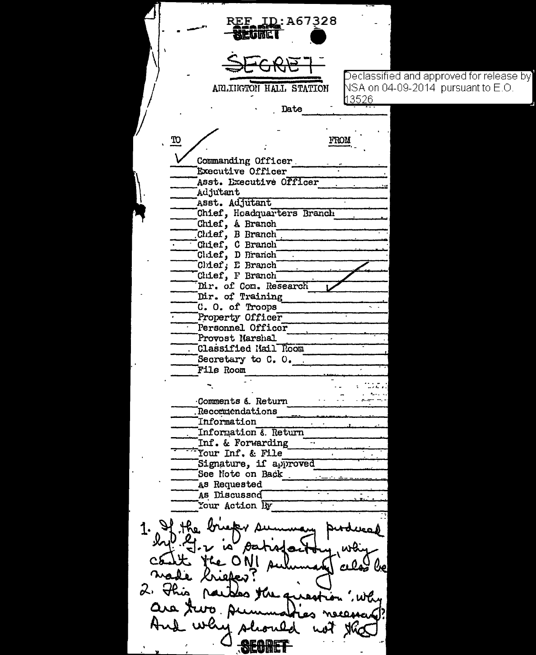REF ID:A67328  $\overline{\rm Declassified}$  and approved for release by $\overline{\phantom{a}}$  $\overline{\text{NSA}}$  on 04-09-2014  $\overline{\text{p} }$ ursuant to E.O. ARLINGTON HALL STATION l13526 Date **TO** FROM Commanding Officer Executive Officer Asst. Executive Officer Adjutant Asst. Adjutant Chief, Hoadquarters Branch Chief, A Branch Chief, B Branch Chief, C Branch<br>Chief, D Branch Chief, E Branch Chief, F Branch Dir. of Com. Research Dir. of Training C. O. of Troops Property Officer Personnel Officer Provost Marshal Classified Mail Room Secretary to C. O. File Room Comments & Return **Recormendations** Information Information & Return Inf. & Forwarding т. Tour Inf. & File Signature, if approved See Note on Back As Requested As Discussed Your Action By 1.  $H$  the  $\ell$ is patisfact the ONI a  $\alpha$ de Krieker 2. This les the question are rivo سيمه wh y shoul SECRET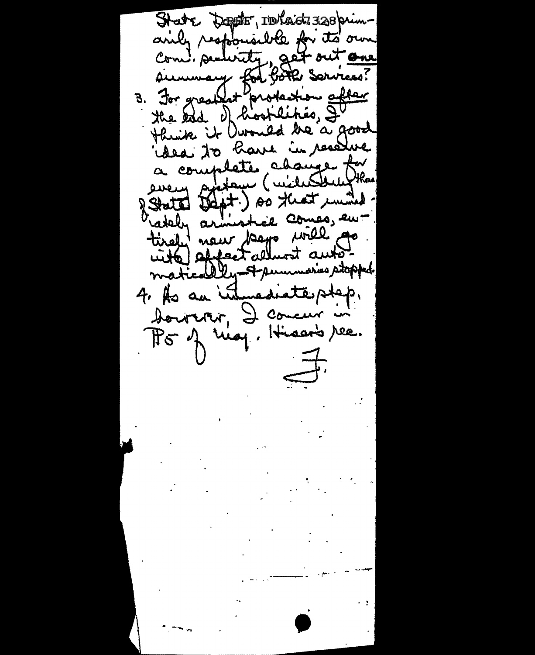State Doppter, Intaidz 328 primandy responsible for its own Com! security, get out one simmary for bôte sorvices?<br>3. For greatlet protection after Henrik it Durould de a good a complete abanque for démand theft.) so that in the Match armistice comes, entirely new page will go 4. As an internationalist. boureron, I comeur in P5 of nig, Hisar's ree. 手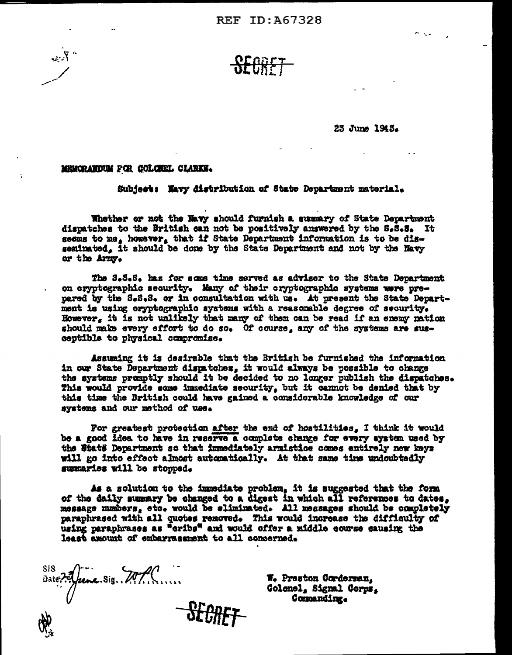$\frac{SEGRT}{E}$ 

23 June 1943.

- . .

## MEMORANDEM FOR COLOREL CLARKE.

 $\mathcal{L}$ 

Subject: Mavy distribution of State Department material.

Whether or not the Navy should furnish a summary of State Department dispatches to the British can not be positively answered by the S.S.S. It seems to me, however, that if State Department information is to be disseminated. It should be done by the State Department and not by the Navy or the Army.

The S.S.S. has for some time served as advisor to the State Department on cryptographic security. Many of their cryptographic systems were prepared by the S.S.S. or in consultation with us. At present the State Department is using cryptographic systems with a reasonable degree of security. However, it is not unlikely that many of them can be read if an enemy nation should make every effort to do so. Of course, any of the systems are susceptible to physical compromise.

Assuming it is desirable that the British be furnished the information in our State Department dispatches, it would always be possible to change the aystems promptly should it be decided to no longer publish the dispatches. This would provide some immediate security, but it cannot be denied that by this time the British could have gained a considerable knowledge of our systems and our method of use.

For greatest protection after the end of hostilities, I think it would be a good idea to have in reserve a complete change for every system used by the State Department so that immediately armistice comes entirely new keys will go into effect almost automatically. At that same time undoubtedly summaries will be stopped.

As a solution to the immediate problem, it is suggested that the form of the daily summary be changed to a digest in which all references to dates, message numbers, etc. would be eliminated. All messages should be completely paraphrased with all quotes removed. This would increase the difficulty of using paraphrases as "oribs" and would offer a middle course causing the least amount of embarrasement to all concerned.

SIS Date ? A feme. Sig. M.P. **SFAR** 

W. Preston Corderman. Golonel, Signal Corps, Commanding.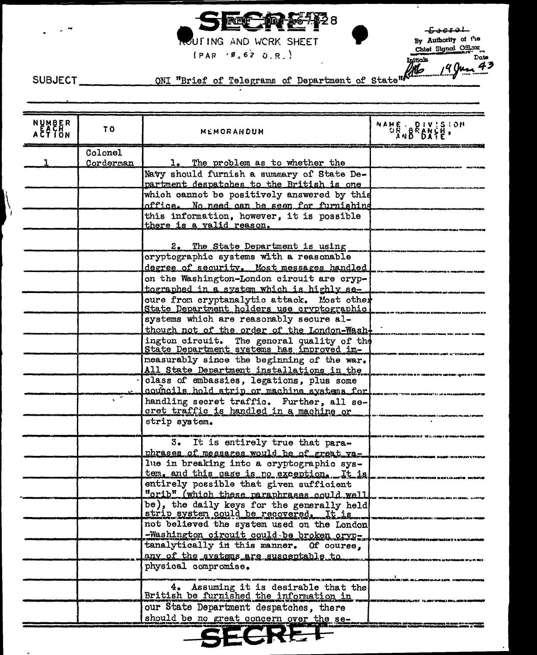

OUT ING AND WORK SHEET

 $(PAR - 9, 62 0.R.)$ 

 $E^{\text{overel}}$ By Authority of the

Chief Signal Officer 9 June 43

Ŋ

SUBJECT ONI "Brief of Telegrams of Department of State"

| NUMBER<br>ACTION | TO.       | <b>MEMORANDUM</b>                                                                    | NAME DIVISION |
|------------------|-----------|--------------------------------------------------------------------------------------|---------------|
|                  | Colonel   |                                                                                      |               |
|                  | Corderman | 1. The problem as to whether the                                                     |               |
|                  |           | Navy should furnish a summary of State De-                                           |               |
|                  |           | partment despatches to the British is one                                            |               |
|                  |           | which cannot be positively answered by this                                          |               |
|                  |           | office. No need can be seen for furnishing                                           |               |
|                  |           | this information, however, it is possible                                            |               |
|                  |           | there is a valid reason.                                                             |               |
|                  |           | 2. The State Department is using                                                     |               |
|                  |           | cryptographic systems with a reasonable                                              |               |
|                  |           | degree of security. Most messages handled                                            |               |
|                  |           | on the Washington-London circuit are cryp-                                           |               |
|                  |           | tographed in a system which is highly se-                                            |               |
|                  |           | cure from cryptanalytic attack. Most other                                           |               |
|                  |           | State Department holders use cryptographic                                           |               |
|                  |           | systems which are reasonably secure al-                                              |               |
|                  |           | though not of the order of the London-Wash-                                          |               |
|                  |           | ington circuit. The general quality of the State Department systems has improved im- |               |
|                  |           | measurably since the beginning of the war.                                           |               |
|                  |           | All State Department installations in the                                            |               |
|                  |           | class of embassies, legations, plus some                                             |               |
|                  |           | councils hold strip or machine systems for                                           |               |
|                  |           | handling secret traffic. Further, all se-                                            |               |
|                  |           | cret traffic is handled in a machine or                                              |               |
|                  |           | strip system.                                                                        |               |
|                  |           | 3. It is entirely true that para-                                                    |               |
|                  |           | phrases of messares would be of great va-                                            |               |
|                  |           | lue in breaking into a cryptographic sys-                                            |               |
|                  |           | tem, and this case is no exception. It is<br>entirely possible that given sufficient |               |
|                  |           | "crib" (which these paraphrases could well                                           |               |
|                  |           |                                                                                      |               |
|                  |           | be), the daily keys for the generally held<br>strip system could be recovered. It is |               |
|                  |           | not believed the system used on the London                                           |               |
|                  |           | -Washington circuit could be broken cryp-                                            |               |
|                  |           | tanalytically in this manner. Of course,                                             |               |
|                  |           | any of the systems are susceptable to                                                |               |
|                  |           | physical compromise.                                                                 |               |
|                  |           |                                                                                      |               |
|                  |           | 4. Assuming it is desirable that the British be furnished the information in         |               |
|                  |           | our State Department despatches. there                                               |               |
|                  |           | should be no great concern over the se-                                              |               |
|                  |           | <b>ECRE</b>                                                                          |               |